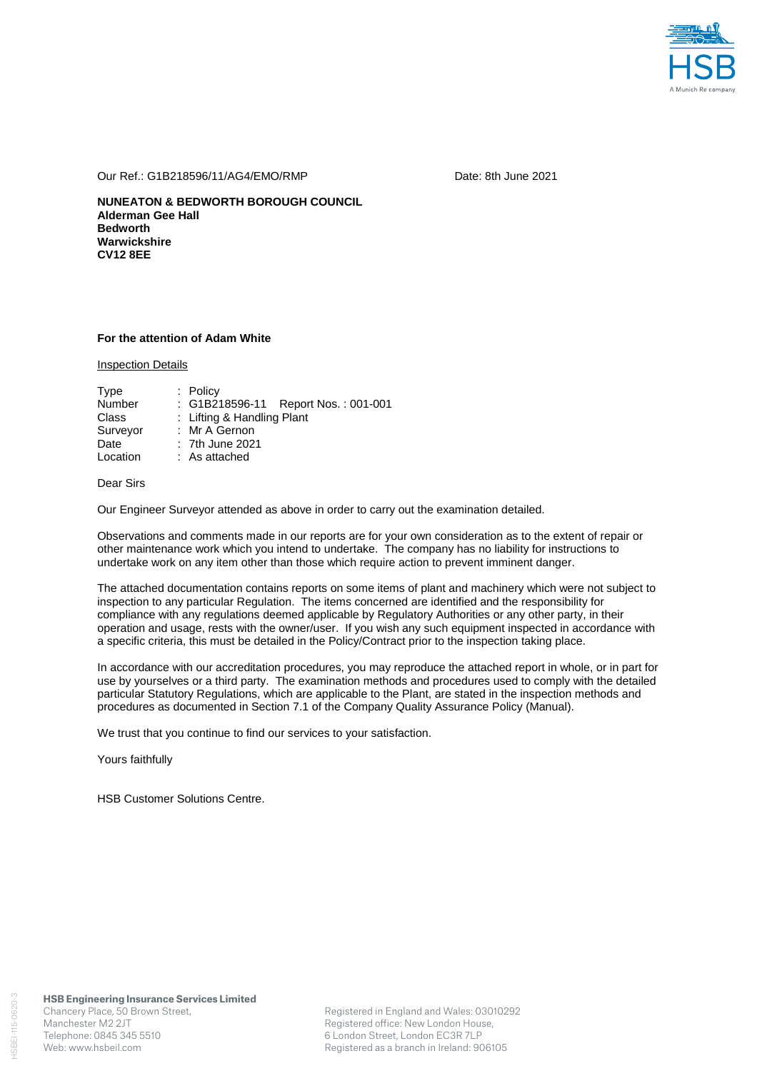

Our Ref.: G1B218596/11/AG4/EMO/RMP Date: 8th June 2021

**NUNEATON & BEDWORTH BOROUGH COUNCIL Alderman Gee Hall Bedworth Warwickshire CV12 8EE** 

## **For the attention of Adam White**

Inspection Details

| Type          | $:$ Policy                          |
|---------------|-------------------------------------|
| <b>Number</b> | : G1B218596-11 Report Nos.: 001-001 |
| Class         | : Lifting & Handling Plant          |
| Surveyor      | : Mr A Gernon                       |
| Date          | : 7th June 2021                     |
| Location      | : As attached                       |

## Dear Sirs

Our Engineer Surveyor attended as above in order to carry out the examination detailed.

Observations and comments made in our reports are for your own consideration as to the extent of repair or other maintenance work which you intend to undertake. The company has no liability for instructions to undertake work on any item other than those which require action to prevent imminent danger.

The attached documentation contains reports on some items of plant and machinery which were not subject to inspection to any particular Regulation. The items concerned are identified and the responsibility for compliance with any regulations deemed applicable by Regulatory Authorities or any other party, in their operation and usage, rests with the owner/user. If you wish any such equipment inspected in accordance with a specific criteria, this must be detailed in the Policy/Contract prior to the inspection taking place.

In accordance with our accreditation procedures, you may reproduce the attached report in whole, or in part for use by yourselves or a third party. The examination methods and procedures used to comply with the detailed particular Statutory Regulations, which are applicable to the Plant, are stated in the inspection methods and procedures as documented in Section 7.1 of the Company Quality Assurance Policy (Manual).

We trust that you continue to find our services to your satisfaction.

Yours faithfully

HSB Customer Solutions Centre.